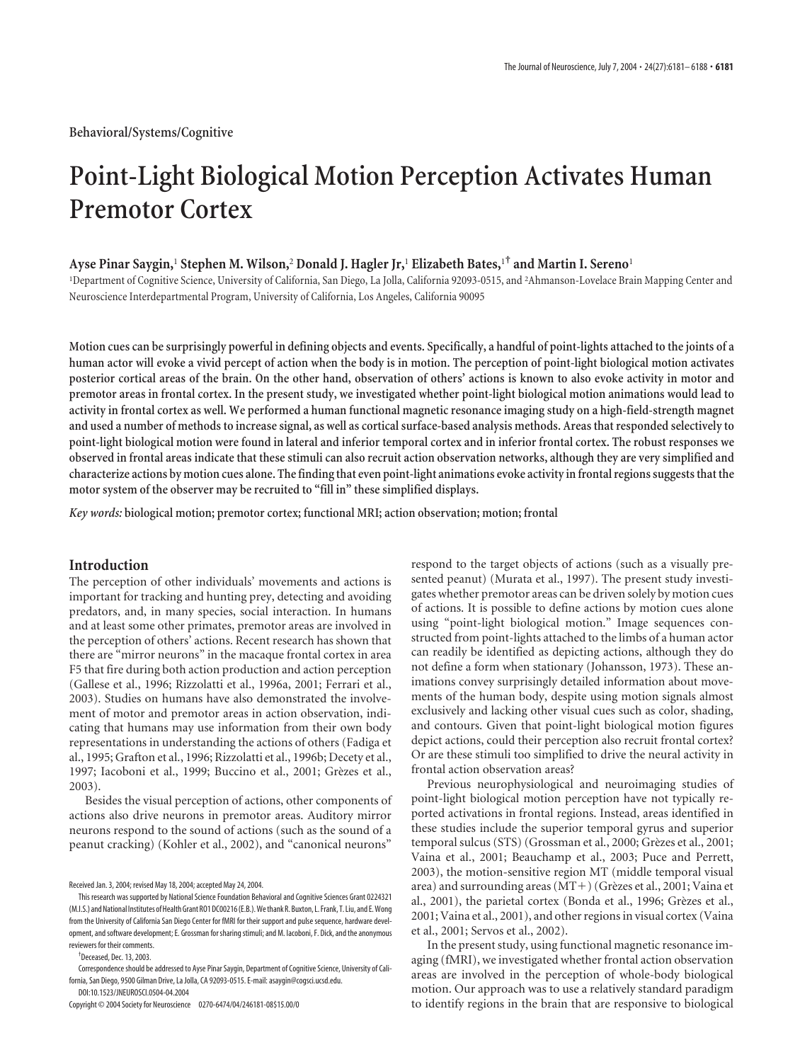# **Point-Light Biological Motion Perception Activates Human Premotor Cortex**

# **Ayse Pinar Saygin,**<sup>1</sup> **Stephen M. Wilson,**<sup>2</sup> **Donald J. Hagler Jr,**<sup>1</sup> **Elizabeth Bates,**<sup>1</sup>**† and Martin I. Sereno**<sup>1</sup>

1 Department of Cognitive Science, University of California, San Diego, La Jolla, California 92093-0515, and <sup>2</sup> Ahmanson-Lovelace Brain Mapping Center and Neuroscience Interdepartmental Program, University of California, Los Angeles, California 90095

**Motion cues can be surprisingly powerful in defining objects and events. Specifically, a handful of point-lights attached to the joints of a human actor will evoke a vivid percept of action when the body is in motion. The perception of point-light biological motion activates posterior cortical areas of the brain. On the other hand, observation of others' actions is known to also evoke activity in motor and premotor areas in frontal cortex. In the present study, we investigated whether point-light biological motion animations would lead to activity in frontal cortex as well. We performed a human functional magnetic resonance imaging study on a high-field-strength magnet and used a number of methods to increase signal, as well as cortical surface-based analysis methods. Areas that responded selectively to point-light biological motion were found in lateral and inferior temporal cortex and in inferior frontal cortex. The robust responses we observed in frontal areas indicate that these stimuli can also recruit action observation networks, although they are very simplified and characterize actions by motion cues alone. The finding that even point-light animations evoke activity in frontal regions suggests that the motor system of the observer may be recruited to "fill in" these simplified displays.**

*Key words:* **biological motion; premotor cortex; functional MRI; action observation; motion; frontal**

## **Introduction**

The perception of other individuals' movements and actions is important for tracking and hunting prey, detecting and avoiding predators, and, in many species, social interaction. In humans and at least some other primates, premotor areas are involved in the perception of others' actions. Recent research has shown that there are "mirror neurons" in the macaque frontal cortex in area F5 that fire during both action production and action perception (Gallese et al., 1996; Rizzolatti et al., 1996a, 2001; Ferrari et al., 2003). Studies on humans have also demonstrated the involvement of motor and premotor areas in action observation, indicating that humans may use information from their own body representations in understanding the actions of others (Fadiga et al., 1995; Grafton et al., 1996; Rizzolatti et al., 1996b; Decety et al., 1997; Iacoboni et al., 1999; Buccino et al., 2001; Grèzes et al., 2003).

Besides the visual perception of actions, other components of actions also drive neurons in premotor areas. Auditory mirror neurons respond to the sound of actions (such as the sound of a peanut cracking) (Kohler et al., 2002), and "canonical neurons"

Received Jan. 3, 2004; revised May 18, 2004; accepted May 24, 2004.

† Deceased, Dec. 13, 2003.

Correspondence should be addressed to Ayse Pinar Saygin, Department of Cognitive Science, University of California, San Diego, 9500 Gilman Drive, La Jolla, CA 92093-0515. E-mail: asaygin@cogsci.ucsd.edu. DOI:10.1523/JNEUROSCI.0504-04.2004

Copyright © 2004 Society for Neuroscience 0270-6474/04/246181-08\$15.00/0

respond to the target objects of actions (such as a visually presented peanut) (Murata et al., 1997). The present study investigates whether premotor areas can be driven solely by motion cues of actions. It is possible to define actions by motion cues alone using "point-light biological motion." Image sequences constructed from point-lights attached to the limbs of a human actor can readily be identified as depicting actions, although they do not define a form when stationary (Johansson, 1973). These animations convey surprisingly detailed information about movements of the human body, despite using motion signals almost exclusively and lacking other visual cues such as color, shading, and contours. Given that point-light biological motion figures depict actions, could their perception also recruit frontal cortex? Or are these stimuli too simplified to drive the neural activity in frontal action observation areas?

Previous neurophysiological and neuroimaging studies of point-light biological motion perception have not typically reported activations in frontal regions. Instead, areas identified in these studies include the superior temporal gyrus and superior temporal sulcus (STS) (Grossman et al., 2000; Grèzes et al., 2001; Vaina et al., 2001; Beauchamp et al., 2003; Puce and Perrett, 2003), the motion-sensitive region MT (middle temporal visual area) and surrounding areas  $(MT+)$  (Grèzes et al., 2001; Vaina et al., 2001), the parietal cortex (Bonda et al., 1996; Grèzes et al., 2001; Vaina et al., 2001), and other regions in visual cortex (Vaina et al., 2001; Servos et al., 2002).

In the present study, using functional magnetic resonance imaging (fMRI), we investigated whether frontal action observation areas are involved in the perception of whole-body biological motion. Our approach was to use a relatively standard paradigm to identify regions in the brain that are responsive to biological

This research was supported by National Science Foundation Behavioral and Cognitive Sciences Grant 0224321 (M.I.S.) and National Institutes of Health Grant RO1 DC00216 (E.B.). We thank R. Buxton, L. Frank, T. Liu, and E. Wong from the University of California San Diego Center for fMRI for their support and pulse sequence, hardware development, and software development; E. Grossman for sharing stimuli; and M. Iacoboni, F. Dick, and the anonymous reviewers for their comments.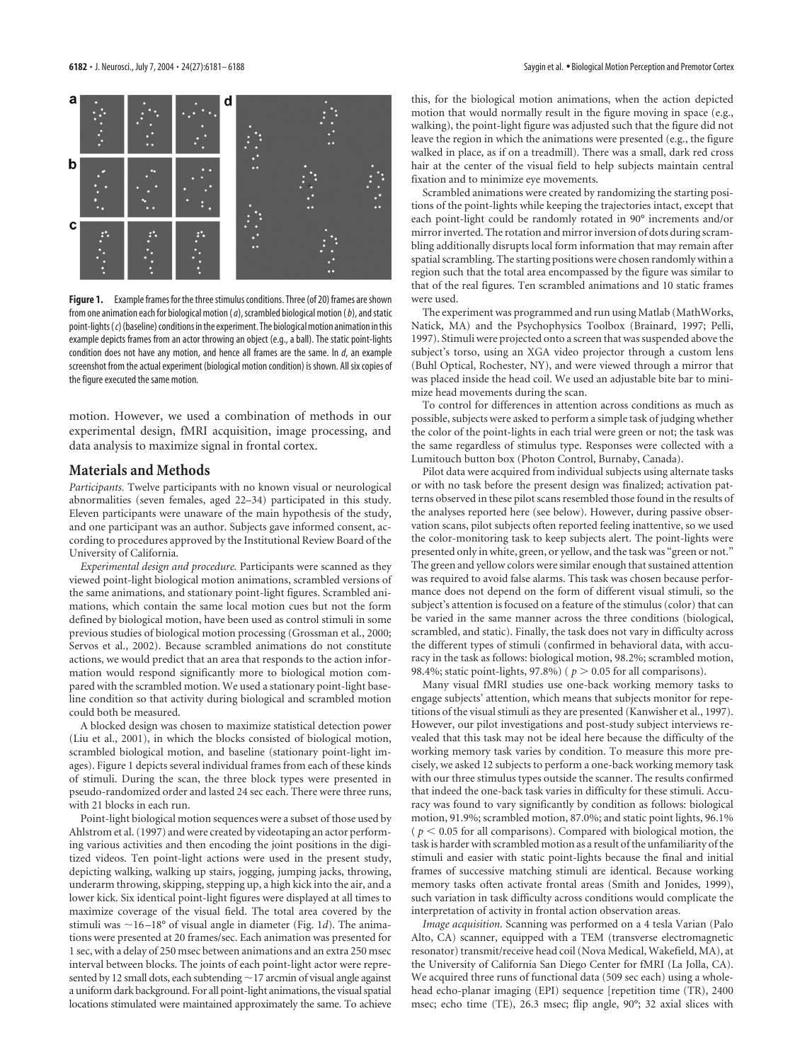

**Figure 1.** Example frames for the three stimulus conditions. Three (of 20) frames are shown from one animation each for biological motion (*a*), scrambled biological motion (*b*), and static point-lights (*c*) (baseline) conditions in the experiment. The biological motion animation in this example depicts frames from an actor throwing an object (e.g., a ball). The static point-lights condition does not have any motion, and hence all frames are the same. In *d*, an example screenshot from the actual experiment (biological motion condition) is shown. All six copies of the figure executed the same motion.

motion. However, we used a combination of methods in our experimental design, fMRI acquisition, image processing, and data analysis to maximize signal in frontal cortex.

### **Materials and Methods**

*Participants.* Twelve participants with no known visual or neurological abnormalities (seven females, aged 22–34) participated in this study. Eleven participants were unaware of the main hypothesis of the study, and one participant was an author. Subjects gave informed consent, according to procedures approved by the Institutional Review Board of the University of California.

*Experimental design and procedure.* Participants were scanned as they viewed point-light biological motion animations, scrambled versions of the same animations, and stationary point-light figures. Scrambled animations, which contain the same local motion cues but not the form defined by biological motion, have been used as control stimuli in some previous studies of biological motion processing (Grossman et al., 2000; Servos et al., 2002). Because scrambled animations do not constitute actions, we would predict that an area that responds to the action information would respond significantly more to biological motion compared with the scrambled motion. We used a stationary point-light baseline condition so that activity during biological and scrambled motion could both be measured.

A blocked design was chosen to maximize statistical detection power (Liu et al., 2001), in which the blocks consisted of biological motion, scrambled biological motion, and baseline (stationary point-light images). Figure 1 depicts several individual frames from each of these kinds of stimuli. During the scan, the three block types were presented in pseudo-randomized order and lasted 24 sec each. There were three runs, with 21 blocks in each run.

Point-light biological motion sequences were a subset of those used by Ahlstrom et al. (1997) and were created by videotaping an actor performing various activities and then encoding the joint positions in the digitized videos. Ten point-light actions were used in the present study, depicting walking, walking up stairs, jogging, jumping jacks, throwing, underarm throwing, skipping, stepping up, a high kick into the air, and a lower kick. Six identical point-light figures were displayed at all times to maximize coverage of the visual field. The total area covered by the stimuli was  $\sim$ 16–18° of visual angle in diameter (Fig. 1*d*). The animations were presented at 20 frames/sec. Each animation was presented for 1 sec, with a delay of 250 msec between animations and an extra 250 msec interval between blocks. The joints of each point-light actor were represented by 12 small dots, each subtending  $\sim$  17 arcmin of visual angle against a uniform dark background. For all point-light animations, the visual spatial locations stimulated were maintained approximately the same. To achieve

this, for the biological motion animations, when the action depicted motion that would normally result in the figure moving in space (e.g., walking), the point-light figure was adjusted such that the figure did not leave the region in which the animations were presented (e.g., the figure walked in place, as if on a treadmill). There was a small, dark red cross hair at the center of the visual field to help subjects maintain central fixation and to minimize eye movements.

Scrambled animations were created by randomizing the starting positions of the point-lights while keeping the trajectories intact, except that each point-light could be randomly rotated in 90° increments and/or mirror inverted. The rotation and mirror inversion of dots during scrambling additionally disrupts local form information that may remain after spatial scrambling. The starting positions were chosen randomly within a region such that the total area encompassed by the figure was similar to that of the real figures. Ten scrambled animations and 10 static frames were used.

The experiment was programmed and run using Matlab (MathWorks, Natick, MA) and the Psychophysics Toolbox (Brainard, 1997; Pelli, 1997). Stimuli were projected onto a screen that was suspended above the subject's torso, using an XGA video projector through a custom lens (Buhl Optical, Rochester, NY), and were viewed through a mirror that was placed inside the head coil. We used an adjustable bite bar to minimize head movements during the scan.

To control for differences in attention across conditions as much as possible, subjects were asked to perform a simple task of judging whether the color of the point-lights in each trial were green or not; the task was the same regardless of stimulus type. Responses were collected with a Lumitouch button box (Photon Control, Burnaby, Canada).

Pilot data were acquired from individual subjects using alternate tasks or with no task before the present design was finalized; activation patterns observed in these pilot scans resembled those found in the results of the analyses reported here (see below). However, during passive observation scans, pilot subjects often reported feeling inattentive, so we used the color-monitoring task to keep subjects alert. The point-lights were presented only in white, green, or yellow, and the task was "green or not." The green and yellow colors were similar enough that sustained attention was required to avoid false alarms. This task was chosen because performance does not depend on the form of different visual stimuli, so the subject's attention is focused on a feature of the stimulus (color) that can be varied in the same manner across the three conditions (biological, scrambled, and static). Finally, the task does not vary in difficulty across the different types of stimuli (confirmed in behavioral data, with accuracy in the task as follows: biological motion, 98.2%; scrambled motion, 98.4%; static point-lights, 97.8%) ( $p > 0.05$  for all comparisons).

Many visual fMRI studies use one-back working memory tasks to engage subjects' attention, which means that subjects monitor for repetitions of the visual stimuli as they are presented (Kanwisher et al., 1997). However, our pilot investigations and post-study subject interviews revealed that this task may not be ideal here because the difficulty of the working memory task varies by condition. To measure this more precisely, we asked 12 subjects to perform a one-back working memory task with our three stimulus types outside the scanner. The results confirmed that indeed the one-back task varies in difficulty for these stimuli. Accuracy was found to vary significantly by condition as follows: biological motion, 91.9%; scrambled motion, 87.0%; and static point lights, 96.1% ( $p < 0.05$  for all comparisons). Compared with biological motion, the task is harder with scrambled motion as a result of the unfamiliarity of the stimuli and easier with static point-lights because the final and initial frames of successive matching stimuli are identical. Because working memory tasks often activate frontal areas (Smith and Jonides, 1999), such variation in task difficulty across conditions would complicate the interpretation of activity in frontal action observation areas.

*Image acquisition.* Scanning was performed on a 4 tesla Varian (Palo Alto, CA) scanner, equipped with a TEM (transverse electromagnetic resonator) transmit/receive head coil (Nova Medical, Wakefield, MA), at the University of California San Diego Center for fMRI (La Jolla, CA). We acquired three runs of functional data (509 sec each) using a wholehead echo-planar imaging (EPI) sequence [repetition time (TR), 2400 msec; echo time (TE), 26.3 msec; flip angle, 90°; 32 axial slices with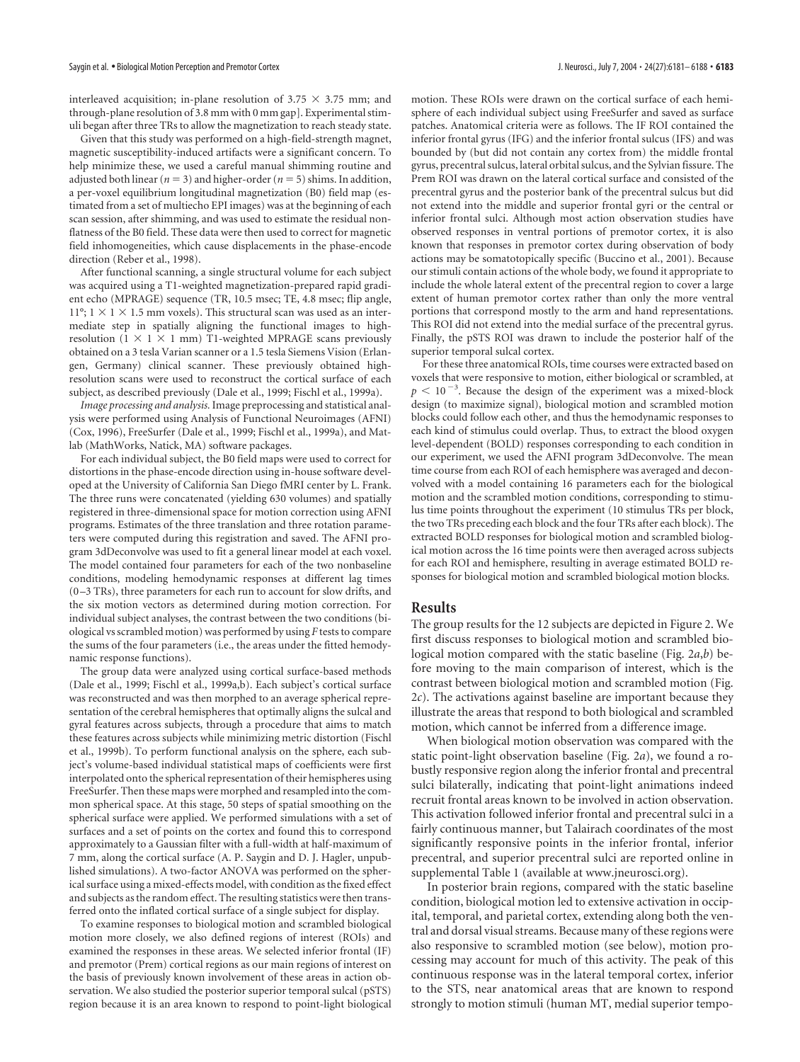interleaved acquisition; in-plane resolution of 3.75  $\times$  3.75 mm; and through-plane resolution of 3.8 mm with 0 mm gap]. Experimental stimuli began after three TRs to allow the magnetization to reach steady state.

Given that this study was performed on a high-field-strength magnet, magnetic susceptibility-induced artifacts were a significant concern. To help minimize these, we used a careful manual shimming routine and adjusted both linear ( $n = 3$ ) and higher-order ( $n = 5$ ) shims. In addition, a per-voxel equilibrium longitudinal magnetization (B0) field map (estimated from a set of multiecho EPI images) was at the beginning of each scan session, after shimming, and was used to estimate the residual nonflatness of the B0 field. These data were then used to correct for magnetic field inhomogeneities, which cause displacements in the phase-encode direction (Reber et al., 1998).

After functional scanning, a single structural volume for each subject was acquired using a T1-weighted magnetization-prepared rapid gradient echo (MPRAGE) sequence (TR, 10.5 msec; TE, 4.8 msec; flip angle,  $11^\circ$ ;  $1 \times 1 \times 1.5$  mm voxels). This structural scan was used as an intermediate step in spatially aligning the functional images to highresolution (1  $\times$  1  $\times$  1 mm) T1-weighted MPRAGE scans previously obtained on a 3 tesla Varian scanner or a 1.5 tesla Siemens Vision (Erlangen, Germany) clinical scanner. These previously obtained highresolution scans were used to reconstruct the cortical surface of each subject, as described previously (Dale et al., 1999; Fischl et al., 1999a).

*Image processing and analysis.*Image preprocessing and statistical analysis were performed using Analysis of Functional Neuroimages (AFNI) (Cox, 1996), FreeSurfer (Dale et al., 1999; Fischl et al., 1999a), and Matlab (MathWorks, Natick, MA) software packages.

For each individual subject, the B0 field maps were used to correct for distortions in the phase-encode direction using in-house software developed at the University of California San Diego fMRI center by L. Frank. The three runs were concatenated (yielding 630 volumes) and spatially registered in three-dimensional space for motion correction using AFNI programs. Estimates of the three translation and three rotation parameters were computed during this registration and saved. The AFNI program 3dDeconvolve was used to fit a general linear model at each voxel. The model contained four parameters for each of the two nonbaseline conditions, modeling hemodynamic responses at different lag times (0–3 TRs), three parameters for each run to account for slow drifts, and the six motion vectors as determined during motion correction. For individual subject analyses, the contrast between the two conditions (biological vs scrambled motion) was performed by using *F* tests to compare the sums of the four parameters (i.e., the areas under the fitted hemodynamic response functions).

The group data were analyzed using cortical surface-based methods (Dale et al., 1999; Fischl et al., 1999a,b). Each subject's cortical surface was reconstructed and was then morphed to an average spherical representation of the cerebral hemispheres that optimally aligns the sulcal and gyral features across subjects, through a procedure that aims to match these features across subjects while minimizing metric distortion (Fischl et al., 1999b). To perform functional analysis on the sphere, each subject's volume-based individual statistical maps of coefficients were first interpolated onto the spherical representation of their hemispheres using FreeSurfer. Then these maps were morphed and resampled into the common spherical space. At this stage, 50 steps of spatial smoothing on the spherical surface were applied. We performed simulations with a set of surfaces and a set of points on the cortex and found this to correspond approximately to a Gaussian filter with a full-width at half-maximum of 7 mm, along the cortical surface (A. P. Saygin and D. J. Hagler, unpublished simulations). A two-factor ANOVA was performed on the spherical surface using a mixed-effects model, with condition as the fixed effect and subjects as the random effect. The resulting statistics were then transferred onto the inflated cortical surface of a single subject for display.

To examine responses to biological motion and scrambled biological motion more closely, we also defined regions of interest (ROIs) and examined the responses in these areas. We selected inferior frontal (IF) and premotor (Prem) cortical regions as our main regions of interest on the basis of previously known involvement of these areas in action observation. We also studied the posterior superior temporal sulcal (pSTS) region because it is an area known to respond to point-light biological

motion. These ROIs were drawn on the cortical surface of each hemisphere of each individual subject using FreeSurfer and saved as surface patches. Anatomical criteria were as follows. The IF ROI contained the inferior frontal gyrus (IFG) and the inferior frontal sulcus (IFS) and was bounded by (but did not contain any cortex from) the middle frontal gyrus, precentral sulcus, lateral orbital sulcus, and the Sylvian fissure. The Prem ROI was drawn on the lateral cortical surface and consisted of the precentral gyrus and the posterior bank of the precentral sulcus but did not extend into the middle and superior frontal gyri or the central or inferior frontal sulci. Although most action observation studies have observed responses in ventral portions of premotor cortex, it is also known that responses in premotor cortex during observation of body actions may be somatotopically specific (Buccino et al., 2001). Because our stimuli contain actions of the whole body, we found it appropriate to include the whole lateral extent of the precentral region to cover a large extent of human premotor cortex rather than only the more ventral portions that correspond mostly to the arm and hand representations. This ROI did not extend into the medial surface of the precentral gyrus. Finally, the pSTS ROI was drawn to include the posterior half of the superior temporal sulcal cortex.

For these three anatomical ROIs, time courses were extracted based on voxels that were responsive to motion, either biological or scrambled, at  $p < 10^{-3}$ . Because the design of the experiment was a mixed-block design (to maximize signal), biological motion and scrambled motion blocks could follow each other, and thus the hemodynamic responses to each kind of stimulus could overlap. Thus, to extract the blood oxygen level-dependent (BOLD) responses corresponding to each condition in our experiment, we used the AFNI program 3dDeconvolve. The mean time course from each ROI of each hemisphere was averaged and deconvolved with a model containing 16 parameters each for the biological motion and the scrambled motion conditions, corresponding to stimulus time points throughout the experiment (10 stimulus TRs per block, the two TRs preceding each block and the four TRs after each block). The extracted BOLD responses for biological motion and scrambled biological motion across the 16 time points were then averaged across subjects for each ROI and hemisphere, resulting in average estimated BOLD responses for biological motion and scrambled biological motion blocks.

### **Results**

The group results for the 12 subjects are depicted in Figure 2. We first discuss responses to biological motion and scrambled biological motion compared with the static baseline (Fig. 2*a*,*b*) before moving to the main comparison of interest, which is the contrast between biological motion and scrambled motion (Fig. 2*c*). The activations against baseline are important because they illustrate the areas that respond to both biological and scrambled motion, which cannot be inferred from a difference image.

When biological motion observation was compared with the static point-light observation baseline (Fig. 2*a*), we found a robustly responsive region along the inferior frontal and precentral sulci bilaterally, indicating that point-light animations indeed recruit frontal areas known to be involved in action observation. This activation followed inferior frontal and precentral sulci in a fairly continuous manner, but Talairach coordinates of the most significantly responsive points in the inferior frontal, inferior precentral, and superior precentral sulci are reported online in supplemental Table 1 (available at www.jneurosci.org).

In posterior brain regions, compared with the static baseline condition, biological motion led to extensive activation in occipital, temporal, and parietal cortex, extending along both the ventral and dorsal visual streams. Because many of these regions were also responsive to scrambled motion (see below), motion processing may account for much of this activity. The peak of this continuous response was in the lateral temporal cortex, inferior to the STS, near anatomical areas that are known to respond strongly to motion stimuli (human MT, medial superior tempo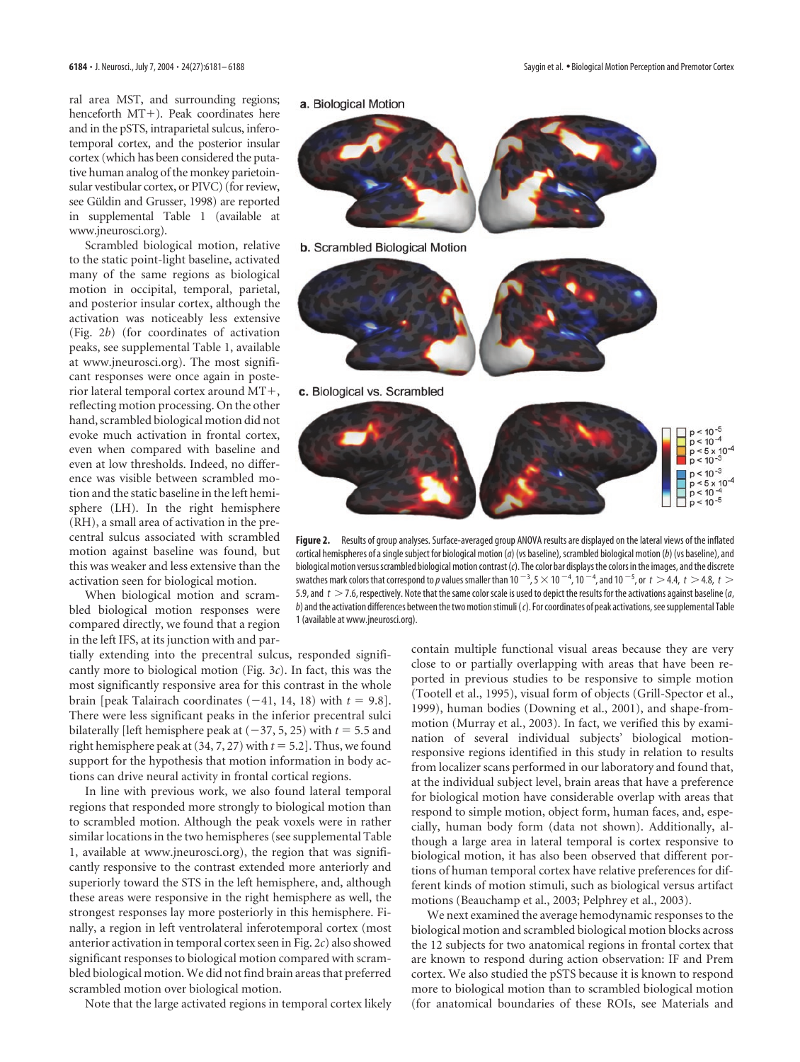ral area MST, and surrounding regions; henceforth MT+). Peak coordinates here and in the pSTS, intraparietal sulcus, inferotemporal cortex, and the posterior insular cortex (which has been considered the putative human analog of the monkey parietoinsular vestibular cortex, or PIVC) (for review, see Güldin and Grusser, 1998) are reported in supplemental Table 1 (available at www.jneurosci.org).

Scrambled biological motion, relative to the static point-light baseline, activated many of the same regions as biological motion in occipital, temporal, parietal, and posterior insular cortex, although the activation was noticeably less extensive (Fig. 2*b*) (for coordinates of activation peaks, see supplemental Table 1, available at www.jneurosci.org). The most significant responses were once again in posterior lateral temporal cortex around MT+, reflecting motion processing. On the other hand, scrambled biological motion did not evoke much activation in frontal cortex, even when compared with baseline and even at low thresholds. Indeed, no difference was visible between scrambled motion and the static baseline in the left hemisphere (LH). In the right hemisphere (RH), a small area of activation in the precentral sulcus associated with scrambled motion against baseline was found, but this was weaker and less extensive than the activation seen for biological motion.

When biological motion and scrambled biological motion responses were compared directly, we found that a region in the left IFS, at its junction with and par-

tially extending into the precentral sulcus, responded significantly more to biological motion (Fig. 3*c*). In fact, this was the most significantly responsive area for this contrast in the whole brain [peak Talairach coordinates  $(-41, 14, 18)$  with  $t = 9.8$ ]. There were less significant peaks in the inferior precentral sulci bilaterally [left hemisphere peak at  $(-37, 5, 25)$  with  $t = 5.5$  and right hemisphere peak at  $(34, 7, 27)$  with  $t = 5.2$ ]. Thus, we found support for the hypothesis that motion information in body actions can drive neural activity in frontal cortical regions.

In line with previous work, we also found lateral temporal regions that responded more strongly to biological motion than to scrambled motion. Although the peak voxels were in rather similar locations in the two hemispheres (see supplemental Table 1, available at www.jneurosci.org), the region that was significantly responsive to the contrast extended more anteriorly and superiorly toward the STS in the left hemisphere, and, although these areas were responsive in the right hemisphere as well, the strongest responses lay more posteriorly in this hemisphere. Finally, a region in left ventrolateral inferotemporal cortex (most anterior activation in temporal cortex seen in Fig. 2*c*) also showed significant responses to biological motion compared with scrambled biological motion. We did not find brain areas that preferred scrambled motion over biological motion.

Note that the large activated regions in temporal cortex likely



**Figure 2.** Results of group analyses. Surface-averaged group ANOVA results are displayed on the lateral views of the inflated cortical hemispheres of a single subject for biological motion (*a*) (vs baseline), scrambled biological motion (*b*) (vs baseline), and biological motion versus scrambled biological motion contrast (*c*). The color bar displays the colors in the images, and the discrete swatches mark colors that correspond to  $p$  values smaller than 10  $^{-3}$  , 5  $\times$  10  $^{-4}$  , 10  $^{-4}$  , and 10  $^{-5}$  , or  $\,t>$  4.4,  $\,t>$  4.8,  $\,t>$ 5.9, and *t* 7.6, respectively. Note that the same color scale is used to depict the results for the activations against baseline (*a*, *b*) and the activation differences between the two motion stimuli (*c*). For coordinates of peak activations, see supplemental Table 1 (available at www.jneurosci.org).

contain multiple functional visual areas because they are very close to or partially overlapping with areas that have been reported in previous studies to be responsive to simple motion (Tootell et al., 1995), visual form of objects (Grill-Spector et al., 1999), human bodies (Downing et al., 2001), and shape-frommotion (Murray et al., 2003). In fact, we verified this by examination of several individual subjects' biological motionresponsive regions identified in this study in relation to results from localizer scans performed in our laboratory and found that, at the individual subject level, brain areas that have a preference for biological motion have considerable overlap with areas that respond to simple motion, object form, human faces, and, especially, human body form (data not shown). Additionally, although a large area in lateral temporal is cortex responsive to biological motion, it has also been observed that different portions of human temporal cortex have relative preferences for different kinds of motion stimuli, such as biological versus artifact motions (Beauchamp et al., 2003; Pelphrey et al., 2003).

We next examined the average hemodynamic responses to the biological motion and scrambled biological motion blocks across the 12 subjects for two anatomical regions in frontal cortex that are known to respond during action observation: IF and Prem cortex. We also studied the pSTS because it is known to respond more to biological motion than to scrambled biological motion (for anatomical boundaries of these ROIs, see Materials and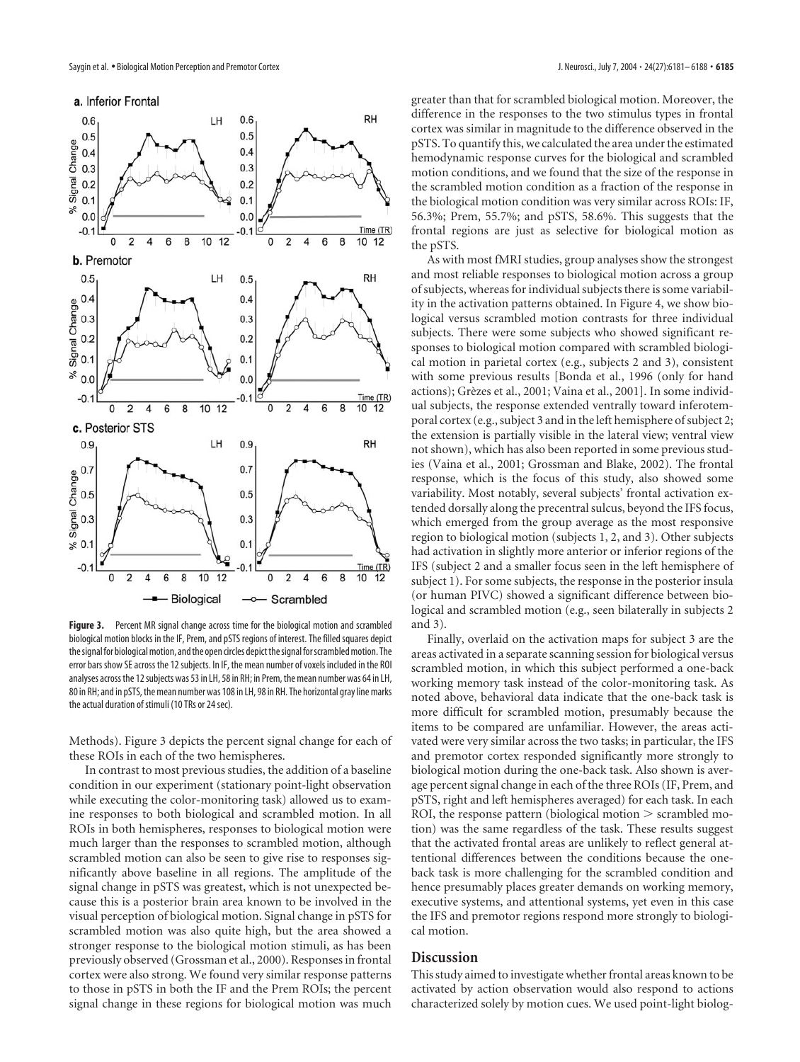



**Figure 3.** Percent MR signal change across time for the biological motion and scrambled biological motion blocks in the IF, Prem, and pSTS regions of interest. The filled squares depict the signal for biological motion, and the open circles depict the signal for scrambled motion. The error bars show SE across the 12 subjects. In IF, the mean number of voxels included in the ROI analyses across the 12 subjects was 53 in LH, 58 in RH; in Prem, the mean number was 64 in LH, 80 in RH; and in pSTS, the mean number was 108 in LH, 98 in RH. The horizontal gray line marks the actual duration of stimuli (10 TRs or 24 sec).

Methods). Figure 3 depicts the percent signal change for each of these ROIs in each of the two hemispheres.

In contrast to most previous studies, the addition of a baseline condition in our experiment (stationary point-light observation while executing the color-monitoring task) allowed us to examine responses to both biological and scrambled motion. In all ROIs in both hemispheres, responses to biological motion were much larger than the responses to scrambled motion, although scrambled motion can also be seen to give rise to responses significantly above baseline in all regions. The amplitude of the signal change in pSTS was greatest, which is not unexpected because this is a posterior brain area known to be involved in the visual perception of biological motion. Signal change in pSTS for scrambled motion was also quite high, but the area showed a stronger response to the biological motion stimuli, as has been previously observed (Grossman et al., 2000). Responses in frontal cortex were also strong. We found very similar response patterns to those in pSTS in both the IF and the Prem ROIs; the percent signal change in these regions for biological motion was much

greater than that for scrambled biological motion. Moreover, the difference in the responses to the two stimulus types in frontal cortex was similar in magnitude to the difference observed in the pSTS. To quantify this, we calculated the area under the estimated hemodynamic response curves for the biological and scrambled motion conditions, and we found that the size of the response in the scrambled motion condition as a fraction of the response in the biological motion condition was very similar across ROIs: IF, 56.3%; Prem, 55.7%; and pSTS, 58.6%. This suggests that the frontal regions are just as selective for biological motion as the pSTS.

As with most fMRI studies, group analyses show the strongest and most reliable responses to biological motion across a group of subjects, whereas for individual subjects there is some variability in the activation patterns obtained. In Figure 4, we show biological versus scrambled motion contrasts for three individual subjects. There were some subjects who showed significant responses to biological motion compared with scrambled biological motion in parietal cortex (e.g., subjects 2 and 3), consistent with some previous results [Bonda et al., 1996 (only for hand actions); Grèzes et al., 2001; Vaina et al., 2001]. In some individual subjects, the response extended ventrally toward inferotemporal cortex (e.g., subject 3 and in the left hemisphere of subject 2; the extension is partially visible in the lateral view; ventral view not shown), which has also been reported in some previous studies (Vaina et al., 2001; Grossman and Blake, 2002). The frontal response, which is the focus of this study, also showed some variability. Most notably, several subjects' frontal activation extended dorsally along the precentral sulcus, beyond the IFS focus, which emerged from the group average as the most responsive region to biological motion (subjects 1, 2, and 3). Other subjects had activation in slightly more anterior or inferior regions of the IFS (subject 2 and a smaller focus seen in the left hemisphere of subject 1). For some subjects, the response in the posterior insula (or human PIVC) showed a significant difference between biological and scrambled motion (e.g., seen bilaterally in subjects 2 and 3).

Finally, overlaid on the activation maps for subject 3 are the areas activated in a separate scanning session for biological versus scrambled motion, in which this subject performed a one-back working memory task instead of the color-monitoring task. As noted above, behavioral data indicate that the one-back task is more difficult for scrambled motion, presumably because the items to be compared are unfamiliar. However, the areas activated were very similar across the two tasks; in particular, the IFS and premotor cortex responded significantly more strongly to biological motion during the one-back task. Also shown is average percent signal change in each of the three ROIs (IF, Prem, and pSTS, right and left hemispheres averaged) for each task. In each ROI, the response pattern (biological motion  $>$  scrambled motion) was the same regardless of the task. These results suggest that the activated frontal areas are unlikely to reflect general attentional differences between the conditions because the oneback task is more challenging for the scrambled condition and hence presumably places greater demands on working memory, executive systems, and attentional systems, yet even in this case the IFS and premotor regions respond more strongly to biological motion.

### **Discussion**

This study aimed to investigate whether frontal areas known to be activated by action observation would also respond to actions characterized solely by motion cues. We used point-light biolog-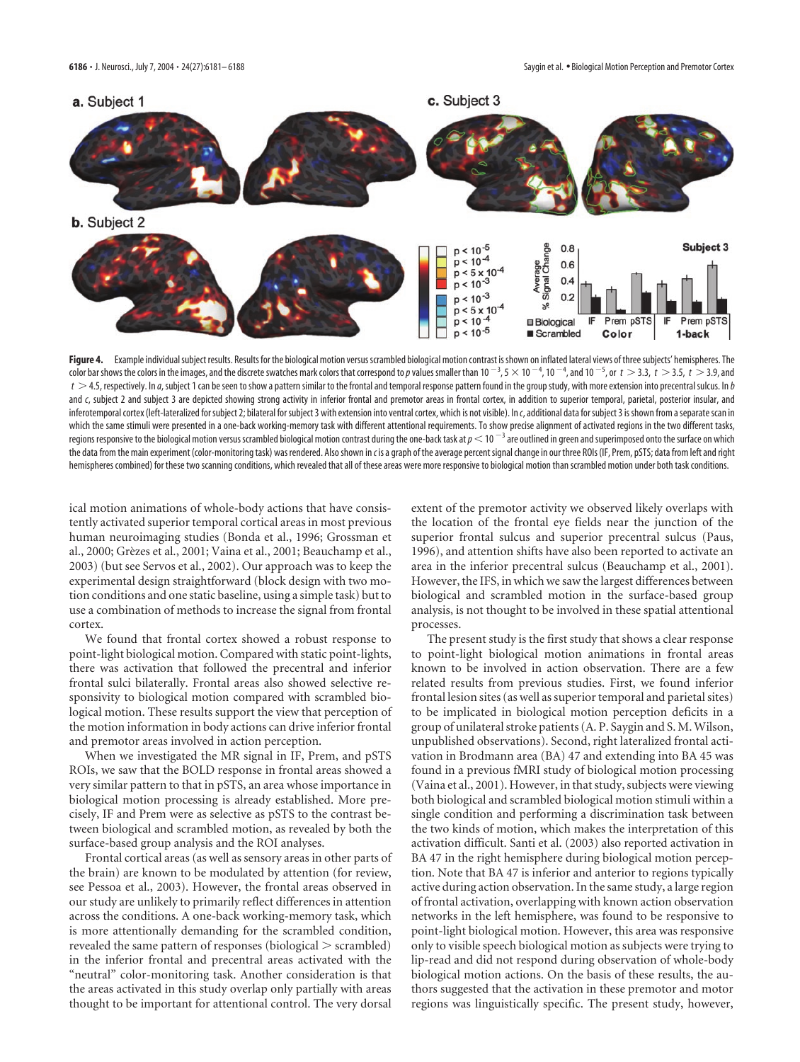

Figure 4. Example individual subject results. Results for the biological motion versus scrambled biological motion contrast is shown on inflated lateral views of three subjects' hemispheres. The color bar shows the colors in the images, and the discrete swatches mark colors that correspond to  $p$  values smaller than 10  $^{-3}$ ,  $5 \times 10^{-4}$ , 10  $^{-4}$ , and 10  $^{-5}$ , or  $t >$  3.3,  $t >$  3.5,  $t >$  3.9, and  $t > 4.5$ , respectively. In *a*, subject 1 can be seen to show a pattern similar to the frontal and temporal response pattern found in the group study, with more extension into precentral sulcus. In *b* and c, subject 2 and subject 3 are depicted showing strong activity in inferior frontal and premotor areas in frontal cortex, in addition to superior temporal, parietal, posterior insular, and inferotemporal cortex (left-lateralized for subject 2; bilateral for subject 3 with extension into ventral cortex, which is not visible). In *c*, additional data for subject 3 is shown from a separate scan in which the same stimuli were presented in a one-back working-memory task with different attentional requirements. To show precise alignment of activated regions in the two different tasks, regions responsive to the biological motion versus scrambled biological motion contrast during the one-back task at  $p < 10^{-3}$  are outlined in green and superimposed onto the surface on which the data from the main experiment (color-monitoring task) was rendered. Also shown in *c*is a graph of the average percent signal change in our three ROIs (IF, Prem, pSTS; data from left and right hemispheres combined) for these two scanning conditions, which revealed that all of these areas were more responsive to biological motion than scrambled motion under both task conditions.

ical motion animations of whole-body actions that have consistently activated superior temporal cortical areas in most previous human neuroimaging studies (Bonda et al., 1996; Grossman et al., 2000; Grèzes et al., 2001; Vaina et al., 2001; Beauchamp et al., 2003) (but see Servos et al., 2002). Our approach was to keep the experimental design straightforward (block design with two motion conditions and one static baseline, using a simple task) but to use a combination of methods to increase the signal from frontal cortex.

We found that frontal cortex showed a robust response to point-light biological motion. Compared with static point-lights, there was activation that followed the precentral and inferior frontal sulci bilaterally. Frontal areas also showed selective responsivity to biological motion compared with scrambled biological motion. These results support the view that perception of the motion information in body actions can drive inferior frontal and premotor areas involved in action perception.

When we investigated the MR signal in IF, Prem, and pSTS ROIs, we saw that the BOLD response in frontal areas showed a very similar pattern to that in pSTS, an area whose importance in biological motion processing is already established. More precisely, IF and Prem were as selective as pSTS to the contrast between biological and scrambled motion, as revealed by both the surface-based group analysis and the ROI analyses.

Frontal cortical areas (as well as sensory areas in other parts of the brain) are known to be modulated by attention (for review, see Pessoa et al., 2003). However, the frontal areas observed in our study are unlikely to primarily reflect differences in attention across the conditions. A one-back working-memory task, which is more attentionally demanding for the scrambled condition, revealed the same pattern of responses (biological  $>$  scrambled) in the inferior frontal and precentral areas activated with the "neutral" color-monitoring task. Another consideration is that the areas activated in this study overlap only partially with areas thought to be important for attentional control. The very dorsal

extent of the premotor activity we observed likely overlaps with the location of the frontal eye fields near the junction of the superior frontal sulcus and superior precentral sulcus (Paus, 1996), and attention shifts have also been reported to activate an area in the inferior precentral sulcus (Beauchamp et al., 2001). However, the IFS, in which we saw the largest differences between biological and scrambled motion in the surface-based group analysis, is not thought to be involved in these spatial attentional processes.

The present study is the first study that shows a clear response to point-light biological motion animations in frontal areas known to be involved in action observation. There are a few related results from previous studies. First, we found inferior frontal lesion sites (as well as superior temporal and parietal sites) to be implicated in biological motion perception deficits in a group of unilateral stroke patients (A. P. Saygin and S. M. Wilson, unpublished observations). Second, right lateralized frontal activation in Brodmann area (BA) 47 and extending into BA 45 was found in a previous fMRI study of biological motion processing (Vaina et al., 2001). However, in that study, subjects were viewing both biological and scrambled biological motion stimuli within a single condition and performing a discrimination task between the two kinds of motion, which makes the interpretation of this activation difficult. Santi et al. (2003) also reported activation in BA 47 in the right hemisphere during biological motion perception. Note that BA 47 is inferior and anterior to regions typically active during action observation. In the same study, a large region of frontal activation, overlapping with known action observation networks in the left hemisphere, was found to be responsive to point-light biological motion. However, this area was responsive only to visible speech biological motion as subjects were trying to lip-read and did not respond during observation of whole-body biological motion actions. On the basis of these results, the authors suggested that the activation in these premotor and motor regions was linguistically specific. The present study, however,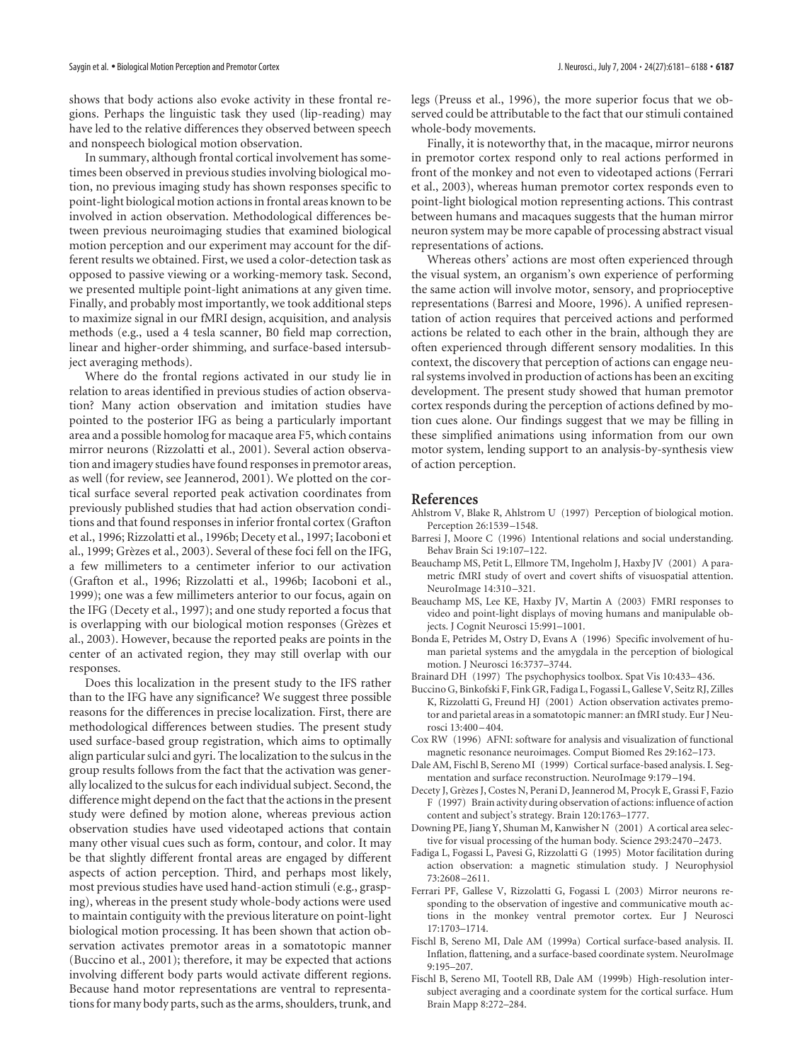shows that body actions also evoke activity in these frontal regions. Perhaps the linguistic task they used (lip-reading) may have led to the relative differences they observed between speech and nonspeech biological motion observation.

In summary, although frontal cortical involvement has sometimes been observed in previous studies involving biological motion, no previous imaging study has shown responses specific to point-light biological motion actions in frontal areas known to be involved in action observation. Methodological differences between previous neuroimaging studies that examined biological motion perception and our experiment may account for the different results we obtained. First, we used a color-detection task as opposed to passive viewing or a working-memory task. Second, we presented multiple point-light animations at any given time. Finally, and probably most importantly, we took additional steps to maximize signal in our fMRI design, acquisition, and analysis methods (e.g., used a 4 tesla scanner, B0 field map correction, linear and higher-order shimming, and surface-based intersubject averaging methods).

Where do the frontal regions activated in our study lie in relation to areas identified in previous studies of action observation? Many action observation and imitation studies have pointed to the posterior IFG as being a particularly important area and a possible homolog for macaque area F5, which contains mirror neurons (Rizzolatti et al., 2001). Several action observation and imagery studies have found responses in premotor areas, as well (for review, see Jeannerod, 2001). We plotted on the cortical surface several reported peak activation coordinates from previously published studies that had action observation conditions and that found responses in inferior frontal cortex (Grafton et al., 1996; Rizzolatti et al., 1996b; Decety et al., 1997; Iacoboni et al., 1999; Grèzes et al., 2003). Several of these foci fell on the IFG, a few millimeters to a centimeter inferior to our activation (Grafton et al., 1996; Rizzolatti et al., 1996b; Iacoboni et al., 1999); one was a few millimeters anterior to our focus, again on the IFG (Decety et al., 1997); and one study reported a focus that is overlapping with our biological motion responses (Grèzes et al., 2003). However, because the reported peaks are points in the center of an activated region, they may still overlap with our responses.

Does this localization in the present study to the IFS rather than to the IFG have any significance? We suggest three possible reasons for the differences in precise localization. First, there are methodological differences between studies. The present study used surface-based group registration, which aims to optimally align particular sulci and gyri. The localization to the sulcus in the group results follows from the fact that the activation was generally localized to the sulcus for each individual subject. Second, the difference might depend on the fact that the actions in the present study were defined by motion alone, whereas previous action observation studies have used videotaped actions that contain many other visual cues such as form, contour, and color. It may be that slightly different frontal areas are engaged by different aspects of action perception. Third, and perhaps most likely, most previous studies have used hand-action stimuli (e.g., grasping), whereas in the present study whole-body actions were used to maintain contiguity with the previous literature on point-light biological motion processing. It has been shown that action observation activates premotor areas in a somatotopic manner (Buccino et al., 2001); therefore, it may be expected that actions involving different body parts would activate different regions. Because hand motor representations are ventral to representations for many body parts, such as the arms, shoulders, trunk, and

legs (Preuss et al., 1996), the more superior focus that we observed could be attributable to the fact that our stimuli contained whole-body movements.

Finally, it is noteworthy that, in the macaque, mirror neurons in premotor cortex respond only to real actions performed in front of the monkey and not even to videotaped actions (Ferrari et al., 2003), whereas human premotor cortex responds even to point-light biological motion representing actions. This contrast between humans and macaques suggests that the human mirror neuron system may be more capable of processing abstract visual representations of actions.

Whereas others' actions are most often experienced through the visual system, an organism's own experience of performing the same action will involve motor, sensory, and proprioceptive representations (Barresi and Moore, 1996). A unified representation of action requires that perceived actions and performed actions be related to each other in the brain, although they are often experienced through different sensory modalities. In this context, the discovery that perception of actions can engage neural systems involved in production of actions has been an exciting development. The present study showed that human premotor cortex responds during the perception of actions defined by motion cues alone. Our findings suggest that we may be filling in these simplified animations using information from our own motor system, lending support to an analysis-by-synthesis view of action perception.

#### **References**

- Ahlstrom V, Blake R, Ahlstrom U (1997) Perception of biological motion. Perception 26:1539–1548.
- Barresi J, Moore C (1996) Intentional relations and social understanding. Behav Brain Sci 19:107–122.
- Beauchamp MS, Petit L, Ellmore TM, Ingeholm J, Haxby JV (2001) A parametric fMRI study of overt and covert shifts of visuospatial attention. NeuroImage 14:310–321.
- Beauchamp MS, Lee KE, Haxby JV, Martin A (2003) FMRI responses to video and point-light displays of moving humans and manipulable objects. J Cognit Neurosci 15:991–1001.
- Bonda E, Petrides M, Ostry D, Evans A (1996) Specific involvement of human parietal systems and the amygdala in the perception of biological motion. J Neurosci 16:3737–3744.
- Brainard DH (1997) The psychophysics toolbox. Spat Vis 10:433–436.
- Buccino G, Binkofski F, Fink GR, Fadiga L, Fogassi L, Gallese V, Seitz RJ, Zilles K, Rizzolatti G, Freund HJ (2001) Action observation activates premotor and parietal areas in a somatotopic manner: an fMRI study. Eur J Neurosci 13:400–404.
- Cox RW (1996) AFNI: software for analysis and visualization of functional magnetic resonance neuroimages. Comput Biomed Res 29:162–173.
- Dale AM, Fischl B, Sereno MI (1999) Cortical surface-based analysis. I. Segmentation and surface reconstruction. NeuroImage 9:179–194.
- Decety J, Grèzes J, Costes N, Perani D, Jeannerod M, Procyk E, Grassi F, Fazio F (1997) Brain activity during observation of actions: influence of action content and subject's strategy. Brain 120:1763–1777.
- Downing PE, Jiang Y, Shuman M, Kanwisher N (2001) A cortical area selective for visual processing of the human body. Science 293:2470–2473.
- Fadiga L, Fogassi L, Pavesi G, Rizzolatti G (1995) Motor facilitation during action observation: a magnetic stimulation study. J Neurophysiol 73:2608–2611.
- Ferrari PF, Gallese V, Rizzolatti G, Fogassi L (2003) Mirror neurons responding to the observation of ingestive and communicative mouth actions in the monkey ventral premotor cortex. Eur J Neurosci 17:1703–1714.
- Fischl B, Sereno MI, Dale AM (1999a) Cortical surface-based analysis. II. Inflation, flattening, and a surface-based coordinate system. NeuroImage 9:195–207.
- Fischl B, Sereno MI, Tootell RB, Dale AM (1999b) High-resolution intersubject averaging and a coordinate system for the cortical surface. Hum Brain Mapp 8:272–284.